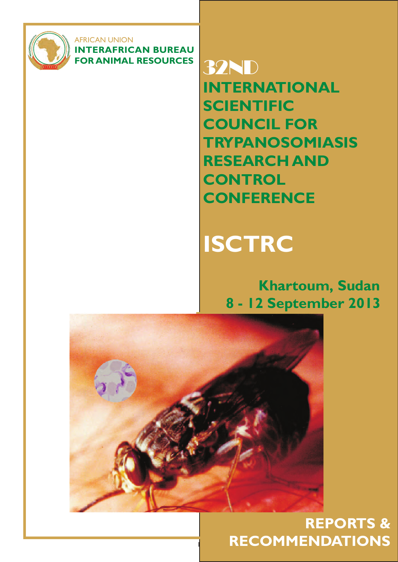

AFRICAN UNION **INTERAFRICAN BUREAU FOR ANIMAL RESOURCES** 32ND

**INTERNATIONAL SCIENTIFIC COUNCIL FOR TRYPANOSOMIASIS RESEARCH AND CONTROL CONFERENCE**

# **ISCTRC**

# **Khartoum, Sudan 8 - 12 September 2013**



1

**REPORTS & RECOMMENDATIONS**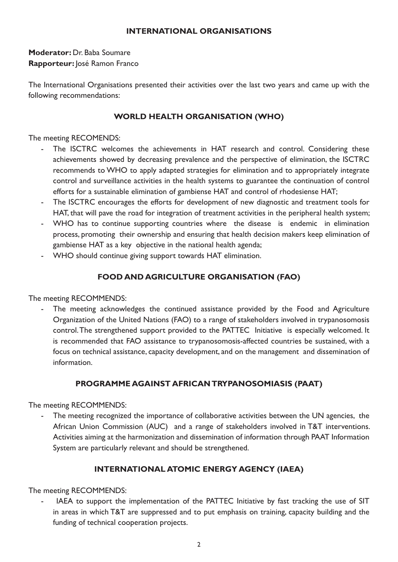#### **INTERNATIONAL ORGANISATIONS**

**Moderator:** Dr. Baba Soumare **Rapporteur:** José Ramon Franco

The International Organisations presented their activities over the last two years and came up with the following recommendations:

#### **WORLD HEALTH ORGANISATION (WHO)**

The meeting RECOMENDS:

- The ISCTRC welcomes the achievements in HAT research and control. Considering these achievements showed by decreasing prevalence and the perspective of elimination, the ISCTRC recommends to WHO to apply adapted strategies for elimination and to appropriately integrate control and surveillance activities in the health systems to guarantee the continuation of control efforts for a sustainable elimination of gambiense HAT and control of rhodesiense HAT;
- The ISCTRC encourages the efforts for development of new diagnostic and treatment tools for HAT, that will pave the road for integration of treatment activities in the peripheral health system;
- WHO has to continue supporting countries where the disease is endemic in elimination process, promoting their ownership and ensuring that health decision makers keep elimination of gambiense HAT as a key objective in the national health agenda;
- WHO should continue giving support towards HAT elimination.

#### **FOOD AND AGRICULTURE ORGANISATION (FAO)**

The meeting RECOMMENDS:

- The meeting acknowledges the continued assistance provided by the Food and Agriculture Organization of the United Nations (FAO) to a range of stakeholders involved in trypanosomosis control. The strengthened support provided to the PATTEC Initiative is especially welcomed. It is recommended that FAO assistance to trypanosomosis-affected countries be sustained, with a focus on technical assistance, capacity development, and on the management and dissemination of information.

#### **PROGRAMME AGAINST AFRICAN TRYPANOSOMIASIS (PAAT)**

The meeting RECOMMENDS:

- The meeting recognized the importance of collaborative activities between the UN agencies, the African Union Commission (AUC) and a range of stakeholders involved in T&T interventions. Activities aiming at the harmonization and dissemination of information through PAAT Information System are particularly relevant and should be strengthened.

#### **INTERNATIONAL ATOMIC ENERGY AGENCY (IAEA)**

The meeting RECOMMENDS:

IAEA to support the implementation of the PATTEC Initiative by fast tracking the use of SIT in areas in which T&T are suppressed and to put emphasis on training, capacity building and the funding of technical cooperation projects.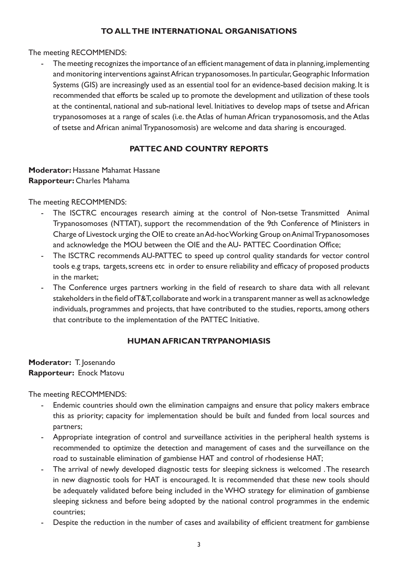#### **TO ALL THE INTERNATIONAL ORGANISATIONS**

#### The meeting RECOMMENDS:

- The meeting recognizes the importance of an efficient management of data in planning, implementing and monitoring interventions against African trypanosomoses. In particular, Geographic Information Systems (GIS) are increasingly used as an essential tool for an evidence-based decision making. It is recommended that efforts be scaled up to promote the development and utilization of these tools at the continental, national and sub-national level. Initiatives to develop maps of tsetse and African trypanosomoses at a range of scales (i.e. the Atlas of human African trypanosomosis, and the Atlas of tsetse and African animal Trypanosomosis) are welcome and data sharing is encouraged.

#### **PATTEC AND COUNTRY REPORTS**

#### **Moderator: Hassane Mahamat Hassane Rapporteur:** Charles Mahama

The meeting RECOMMENDS:

- The ISCTRC encourages research aiming at the control of Non-tsetse Transmitted Animal Trypanosomoses (NTTAT), support the recommendation of the 9th Conference of Ministers in Charge of Livestock urging the OIE to create an Ad-hoc Working Group on Animal Trypanosomoses and acknowledge the MOU between the OIE and the AU- PATTEC Coordination Office;
- The ISCTRC recommends AU-PATTEC to speed up control quality standards for vector control tools e.g traps, targets, screens etc in order to ensure reliability and efficacy of proposed products in the market;
- The Conference urges partners working in the field of research to share data with all relevant stakeholders in the field of T&T, collaborate and work in a transparent manner as well as acknowledge individuals, programmes and projects, that have contributed to the studies, reports, among others that contribute to the implementation of the PATTEC Initiative.

#### **HUMAN AFRICAN TRYPANOMIASIS**

#### **Moderator:** T. Josenando **Rapporteur:** Enock Matovu

The meeting RECOMMENDS:

- Endemic countries should own the elimination campaigns and ensure that policy makers embrace this as priority; capacity for implementation should be built and funded from local sources and partners;
- Appropriate integration of control and surveillance activities in the peripheral health systems is recommended to optimize the detection and management of cases and the surveillance on the road to sustainable elimination of gambiense HAT and control of rhodesiense HAT;
- The arrival of newly developed diagnostic tests for sleeping sickness is welcomed . The research in new diagnostic tools for HAT is encouraged. It is recommended that these new tools should be adequately validated before being included in the WHO strategy for elimination of gambiense sleeping sickness and before being adopted by the national control programmes in the endemic countries;
- Despite the reduction in the number of cases and availability of efficient treatment for gambiense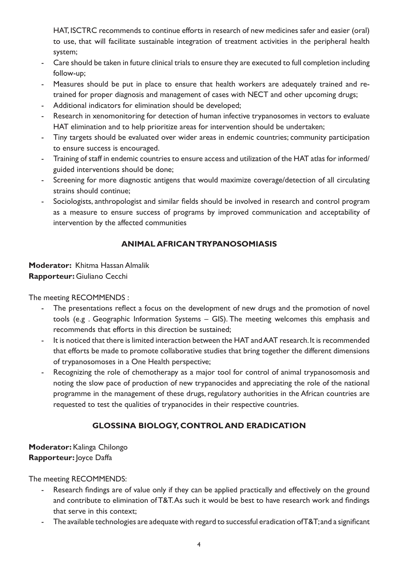HAT, ISCTRC recommends to continue efforts in research of new medicines safer and easier (oral) to use, that will facilitate sustainable integration of treatment activities in the peripheral health system;

- Care should be taken in future clinical trials to ensure they are executed to full completion including follow-up;
- Measures should be put in place to ensure that health workers are adequately trained and retrained for proper diagnosis and management of cases with NECT and other upcoming drugs;
- Additional indicators for elimination should be developed;
- Research in xenomonitoring for detection of human infective trypanosomes in vectors to evaluate HAT elimination and to help prioritize areas for intervention should be undertaken;
- Tiny targets should be evaluated over wider areas in endemic countries; community participation to ensure success is encouraged.
- Training of staff in endemic countries to ensure access and utilization of the HAT atlas for informed/ guided interventions should be done;
- Screening for more diagnostic antigens that would maximize coverage/detection of all circulating strains should continue;
- Sociologists, anthropologist and similar fields should be involved in research and control program as a measure to ensure success of programs by improved communication and acceptability of intervention by the affected communities

#### **ANIMAL AFRICAN TRYPANOSOMIASIS**

#### **Moderator:** Khitma Hassan Almalik **Rapporteur:** Giuliano Cecchi

The meeting RECOMMENDS :

- The presentations reflect a focus on the development of new drugs and the promotion of novel tools (e.g . Geographic Information Systems – GIS). The meeting welcomes this emphasis and recommends that efforts in this direction be sustained;
- It is noticed that there is limited interaction between the HAT and AAT research. It is recommended that efforts be made to promote collaborative studies that bring together the different dimensions of trypanosomoses in a One Health perspective;
- Recognizing the role of chemotherapy as a major tool for control of animal trypanosomosis and noting the slow pace of production of new trypanocides and appreciating the role of the national programme in the management of these drugs, regulatory authorities in the African countries are requested to test the qualities of trypanocides in their respective countries.

## **GLOSSINA BIOLOGY, CONTROL AND ERADICATION**

**Moderator:** Kalinga Chilongo **Rapporteur:** Joyce Daffa

The meeting RECOMMENDS:

- Research findings are of value only if they can be applied practically and effectively on the ground and contribute to elimination of T&T. As such it would be best to have research work and findings that serve in this context;
- The available technologies are adequate with regard to successful eradication of T&T; and a significant